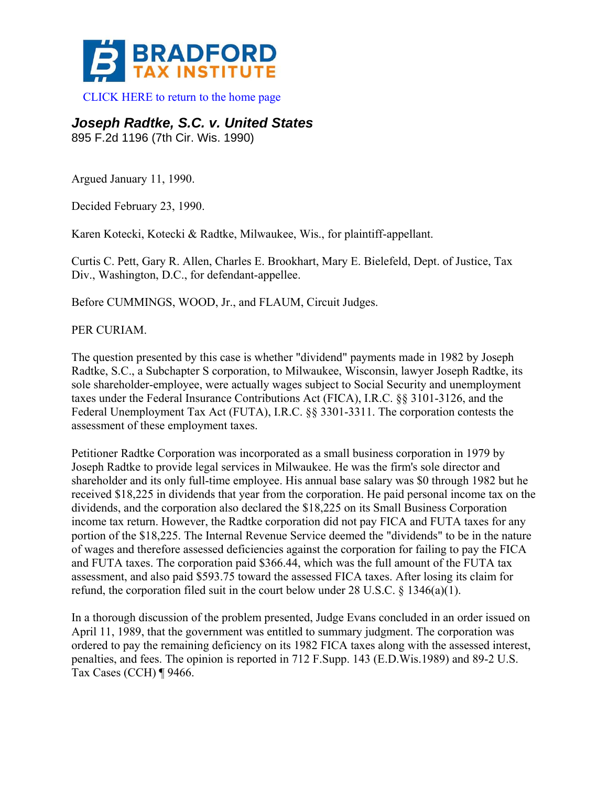

[CLICK HERE to return to the home page](http://bradfordtaxinstitute.com/index1.aspx) 

## *Joseph Radtke, S.C. v. United States*

895 F.2d 1196 (7th Cir. Wis. 1990)

Argued January 11, 1990.

Decided February 23, 1990.

Karen Kotecki, Kotecki & Radtke, Milwaukee, Wis., for plaintiff-appellant.

Curtis C. Pett, Gary R. Allen, Charles E. Brookhart, Mary E. Bielefeld, Dept. of Justice, Tax Div., Washington, D.C., for defendant-appellee.

Before CUMMINGS, WOOD, Jr., and FLAUM, Circuit Judges.

PER CURIAM.

The question presented by this case is whether "dividend" payments made in 1982 by Joseph Radtke, S.C., a Subchapter S corporation, to Milwaukee, Wisconsin, lawyer Joseph Radtke, its sole shareholder-employee, were actually wages subject to Social Security and unemployment taxes under the Federal Insurance Contributions Act (FICA), I.R.C. §§ 3101-3126, and the Federal Unemployment Tax Act (FUTA), I.R.C. §§ 3301-3311. The corporation contests the assessment of these employment taxes.

Petitioner Radtke Corporation was incorporated as a small business corporation in 1979 by Joseph Radtke to provide legal services in Milwaukee. He was the firm's sole director and shareholder and its only full-time employee. His annual base salary was \$0 through 1982 but he received \$18,225 in dividends that year from the corporation. He paid personal income tax on the dividends, and the corporation also declared the \$18,225 on its Small Business Corporation income tax return. However, the Radtke corporation did not pay FICA and FUTA taxes for any portion of the \$18,225. The Internal Revenue Service deemed the "dividends" to be in the nature of wages and therefore assessed deficiencies against the corporation for failing to pay the FICA and FUTA taxes. The corporation paid \$366.44, which was the full amount of the FUTA tax assessment, and also paid \$593.75 toward the assessed FICA taxes. After losing its claim for refund, the corporation filed suit in the court below under 28 U.S.C. § 1346(a)(1).

In a thorough discussion of the problem presented, Judge Evans concluded in an order issued on April 11, 1989, that the government was entitled to summary judgment. The corporation was ordered to pay the remaining deficiency on its 1982 FICA taxes along with the assessed interest, penalties, and fees. The opinion is reported in 712 F.Supp. 143 (E.D.Wis.1989) and 89-2 U.S. Tax Cases (CCH) ¶ 9466.